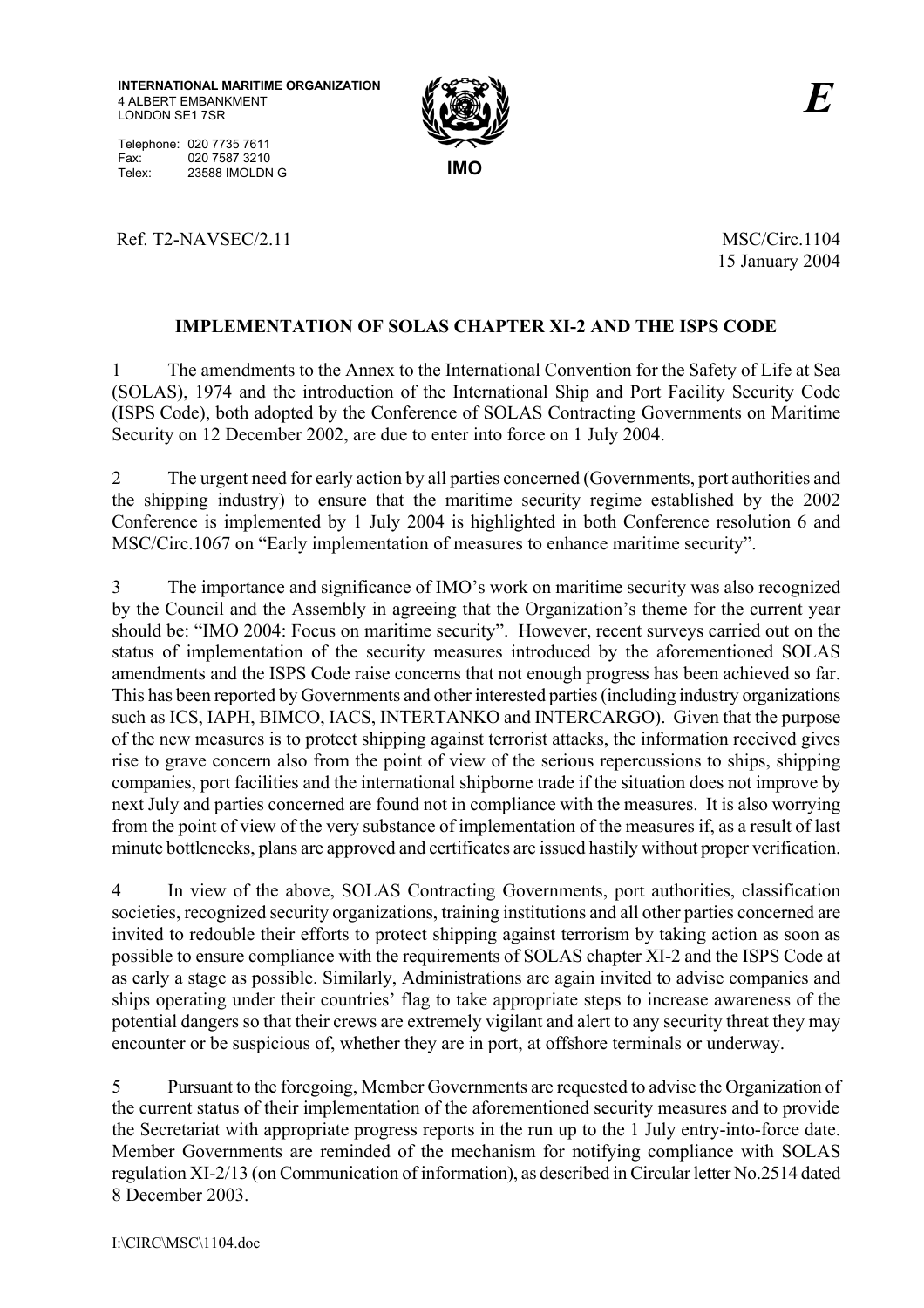**INTERNATIONAL MARITIME ORGANIZATION** 4 ALBERT EMBANKMENT LONDON SE1 7SR

Telephone: 020 7735 7611 Fax: 020 7587 3210 Telex: 23588 **IMOLDN G** 



Ref. T2-NAVSEC/2.11 MSC/Circ.1104

15 January 2004

## **IMPLEMENTATION OF SOLAS CHAPTER XI-2 AND THE ISPS CODE**

1 The amendments to the Annex to the International Convention for the Safety of Life at Sea (SOLAS), 1974 and the introduction of the International Ship and Port Facility Security Code (ISPS Code), both adopted by the Conference of SOLAS Contracting Governments on Maritime Security on 12 December 2002, are due to enter into force on 1 July 2004.

2 The urgent need for early action by all parties concerned (Governments, port authorities and the shipping industry) to ensure that the maritime security regime established by the 2002 Conference is implemented by 1 July 2004 is highlighted in both Conference resolution 6 and MSC/Circ.1067 on "Early implementation of measures to enhance maritime security".

3 The importance and significance of IMO's work on maritime security was also recognized by the Council and the Assembly in agreeing that the Organization's theme for the current year should be: "IMO 2004: Focus on maritime security". However, recent surveys carried out on the status of implementation of the security measures introduced by the aforementioned SOLAS amendments and the ISPS Code raise concerns that not enough progress has been achieved so far. This has been reported by Governments and other interested parties (including industry organizations such as ICS, IAPH, BIMCO, IACS, INTERTANKO and INTERCARGO). Given that the purpose of the new measures is to protect shipping against terrorist attacks, the information received gives rise to grave concern also from the point of view of the serious repercussions to ships, shipping companies, port facilities and the international shipborne trade if the situation does not improve by next July and parties concerned are found not in compliance with the measures. It is also worrying from the point of view of the very substance of implementation of the measures if, as a result of last minute bottlenecks, plans are approved and certificates are issued hastily without proper verification.

4 In view of the above, SOLAS Contracting Governments, port authorities, classification societies, recognized security organizations, training institutions and all other parties concerned are invited to redouble their efforts to protect shipping against terrorism by taking action as soon as possible to ensure compliance with the requirements of SOLAS chapter XI-2 and the ISPS Code at as early a stage as possible. Similarly, Administrations are again invited to advise companies and ships operating under their countries' flag to take appropriate steps to increase awareness of the potential dangers so that their crews are extremely vigilant and alert to any security threat they may encounter or be suspicious of, whether they are in port, at offshore terminals or underway.

5 Pursuant to the foregoing, Member Governments are requested to advise the Organization of the current status of their implementation of the aforementioned security measures and to provide the Secretariat with appropriate progress reports in the run up to the 1 July entry-into-force date. Member Governments are reminded of the mechanism for notifying compliance with SOLAS regulation XI-2/13 (on Communication of information), as described in Circular letter No.2514 dated 8 December 2003.